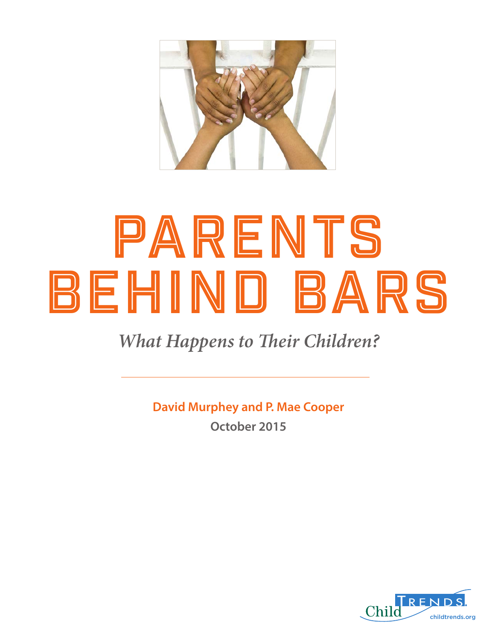

# PARENTS Behind Bars

### *What Happens to Their Children?*

**David Murphey and P. Mae Cooper October 2015**

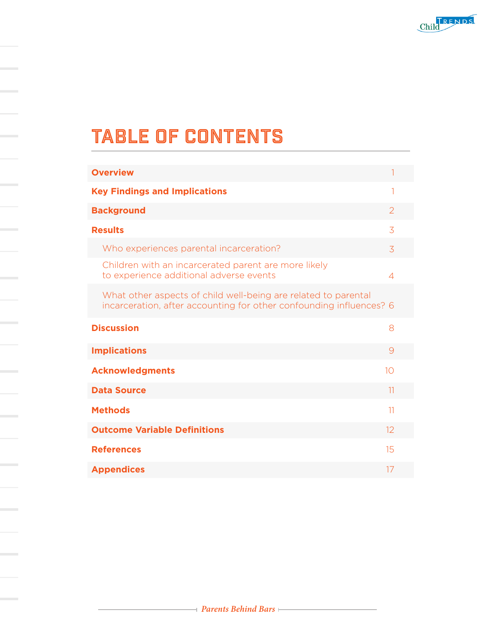

### TABLE OF CONTENTS

| <b>Overview</b>                                                                                                                       |    |
|---------------------------------------------------------------------------------------------------------------------------------------|----|
| <b>Key Findings and Implications</b>                                                                                                  | 1  |
| <b>Background</b>                                                                                                                     | 2  |
| <b>Results</b>                                                                                                                        | 3  |
| Who experiences parental incarceration?                                                                                               | 3  |
| Children with an incarcerated parent are more likely<br>to experience additional adverse events                                       | 4  |
| What other aspects of child well-being are related to parental<br>incarceration, after accounting for other confounding influences? 6 |    |
| <b>Discussion</b>                                                                                                                     | 8  |
| <b>Implications</b>                                                                                                                   | 9  |
| <b>Acknowledgments</b>                                                                                                                | 10 |
| <b>Data Source</b>                                                                                                                    | 11 |
| <b>Methods</b>                                                                                                                        | 11 |
| <b>Outcome Variable Definitions</b>                                                                                                   | 12 |
| <b>References</b>                                                                                                                     | 15 |
| <b>Appendices</b>                                                                                                                     | 17 |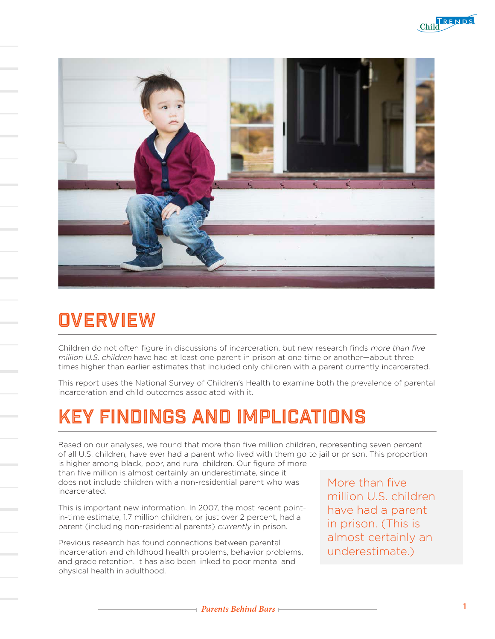



# **OVERVIEW**

Children do not often figure in discussions of incarceration, but new research finds more than five million U.S. children have had at least one parent in prison at one time or another—about three times higher than earlier estimates that included only children with a parent currently incarcerated.

This report uses the National Survey of Children's Health to examine both the prevalence of parental incarceration and child outcomes associated with it.

### Key Findings and Implications

Based on our analyses, we found that more than five million children, representing seven percent of all U.S. children, have ever had a parent who lived with them go to jail or prison. This proportion

is higher among black, poor, and rural children. Our figure of more than five million is almost certainly an underestimate, since it does not include children with a non-residential parent who was incarcerated.

This is important new information. In 2007, the most recent pointin-time estimate, 1.7 million children, or just over 2 percent, had a parent (including non-residential parents) currently in prison.

Previous research has found connections between parental incarceration and childhood health problems, behavior problems, and grade retention. It has also been linked to poor mental and physical health in adulthood.

More than five million U.S. children have had a parent in prison. (This is almost certainly an underestimate.)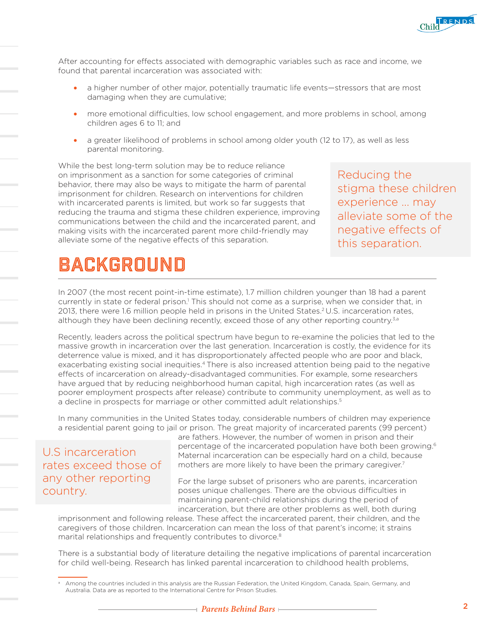

After accounting for effects associated with demographic variables such as race and income, we found that parental incarceration was associated with:

- a higher number of other major, potentially traumatic life events—stressors that are most damaging when they are cumulative;
- more emotional difficulties, low school engagement, and more problems in school, among children ages 6 to 11; and
- a greater likelihood of problems in school among older youth (12 to 17), as well as less parental monitoring.

While the best long-term solution may be to reduce reliance on imprisonment as a sanction for some categories of criminal behavior, there may also be ways to mitigate the harm of parental imprisonment for children. Research on interventions for children with incarcerated parents is limited, but work so far suggests that reducing the trauma and stigma these children experience, improving communications between the child and the incarcerated parent, and making visits with the incarcerated parent more child-friendly may alleviate some of the negative effects of this separation.

Reducing the stigma these children experience ... may alleviate some of the negative effects of this separation.

### BACKGROUND

In 2007 (the most recent point-in-time estimate), 1.7 million children younger than 18 had a parent currently in state or federal prison.<sup>1</sup> This should not come as a surprise, when we consider that, in 2013, there were 1.6 million people held in prisons in the United States.2 U.S. incarceration rates, although they have been declining recently, exceed those of any other reporting country.<sup>3,a</sup>

Recently, leaders across the political spectrum have begun to re-examine the policies that led to the massive growth in incarceration over the last generation. Incarceration is costly, the evidence for its deterrence value is mixed, and it has disproportionately affected people who are poor and black, exacerbating existing social inequities.4 There is also increased attention being paid to the negative effects of incarceration on already-disadvantaged communities. For example, some researchers have argued that by reducing neighborhood human capital, high incarceration rates (as well as poorer employment prospects after release) contribute to community unemployment, as well as to a decline in prospects for marriage or other committed adult relationships.<sup>5</sup>

In many communities in the United States today, considerable numbers of children may experience a residential parent going to jail or prison. The great majority of incarcerated parents (99 percent)

U.S incarceration rates exceed those of any other reporting country.

are fathers. However, the number of women in prison and their percentage of the incarcerated population have both been growing.<sup>6</sup> Maternal incarceration can be especially hard on a child, because mothers are more likely to have been the primary caregiver.<sup>7</sup>

For the large subset of prisoners who are parents, incarceration poses unique challenges. There are the obvious difficulties in maintaining parent-child relationships during the period of incarceration, but there are other problems as well, both during

imprisonment and following release. These affect the incarcerated parent, their children, and the caregivers of those children. Incarceration can mean the loss of that parent's income; it strains marital relationships and frequently contributes to divorce.<sup>8</sup>

There is a substantial body of literature detailing the negative implications of parental incarceration for child well-being. Research has linked parental incarceration to childhood health problems,

<sup>a</sup> Among the countries included in this analysis are the Russian Federation, the United Kingdom, Canada, Spain, Germany, and Australia. Data are as reported to the International Centre for Prison Studies.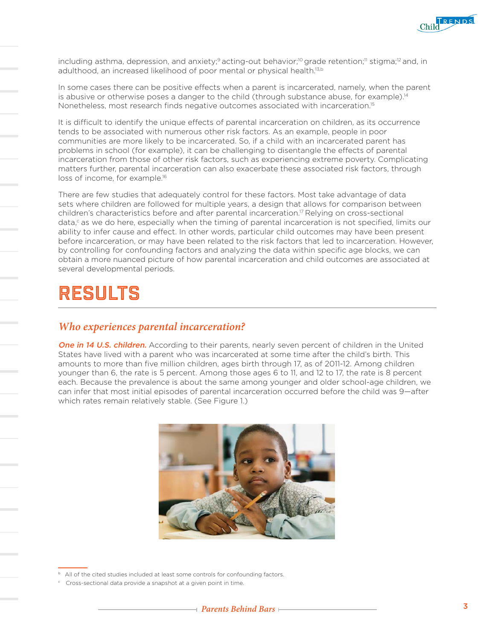

including asthma, depression, and anxiety;<sup>9</sup> acting-out behavior;<sup>10</sup> grade retention;<sup>11</sup> stigma;<sup>12</sup> and, in adulthood, an increased likelihood of poor mental or physical health.<sup>13,b</sup>

In some cases there can be positive effects when a parent is incarcerated, namely, when the parent is abusive or otherwise poses a danger to the child (through substance abuse, for example).<sup>14</sup> Nonetheless, most research finds negative outcomes associated with incarceration.15

It is difficult to identify the unique effects of parental incarceration on children, as its occurrence tends to be associated with numerous other risk factors. As an example, people in poor communities are more likely to be incarcerated. So, if a child with an incarcerated parent has problems in school (for example), it can be challenging to disentangle the effects of parental incarceration from those of other risk factors, such as experiencing extreme poverty. Complicating matters further, parental incarceration can also exacerbate these associated risk factors, through loss of income, for example.<sup>16</sup>

There are few studies that adequately control for these factors. Most take advantage of data sets where children are followed for multiple years, a design that allows for comparison between children's characteristics before and after parental incarceration.17 Relying on cross-sectional data, $c$  as we do here, especially when the timing of parental incarceration is not specified, limits our ability to infer cause and effect. In other words, particular child outcomes may have been present before incarceration, or may have been related to the risk factors that led to incarceration. However, by controlling for confounding factors and analyzing the data within specific age blocks, we can obtain a more nuanced picture of how parental incarceration and child outcomes are associated at several developmental periods.

### **RESIIITS**

#### *Who experiences parental incarceration?*

One in 14 U.S. children. According to their parents, nearly seven percent of children in the United States have lived with a parent who was incarcerated at some time after the child's birth. This amounts to more than five million children, ages birth through 17, as of 2011-12. Among children younger than 6, the rate is 5 percent. Among those ages 6 to 11, and 12 to 17, the rate is 8 percent each. Because the prevalence is about the same among younger and older school-age children, we can infer that most initial episodes of parental incarceration occurred before the child was 9—after which rates remain relatively stable. (See Figure 1.)



<sup>&</sup>lt;sup>b</sup> All of the cited studies included at least some controls for confounding factors.

<sup>&</sup>lt;sup>c</sup> Cross-sectional data provide a snapshot at a given point in time.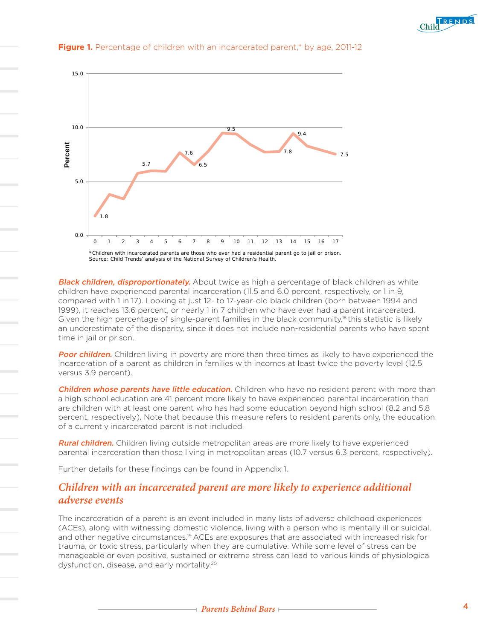



#### **Figure 1.** Percentage of children with an incarcerated parent,\* by age, 2011-12

**Black children, disproportionately.** About twice as high a percentage of black children as white children have experienced parental incarceration (11.5 and 6.0 percent, respectively, or 1 in 9, compared with 1 in 17). Looking at just 12- to 17-year-old black children (born between 1994 and 1999), it reaches 13.6 percent, or nearly 1 in 7 children who have ever had a parent incarcerated. Given the high percentage of single-parent families in the black community,<sup>18</sup> this statistic is likely an underestimate of the disparity, since it does not include non-residential parents who have spent time in jail or prison.

Poor children. Children living in poverty are more than three times as likely to have experienced the incarceration of a parent as children in families with incomes at least twice the poverty level (12.5 versus 3.9 percent).

Children whose parents have little education. Children who have no resident parent with more than a high school education are 41 percent more likely to have experienced parental incarceration than are children with at least one parent who has had some education beyond high school (8.2 and 5.8 percent, respectively). Note that because this measure refers to resident parents only, the education of a currently incarcerated parent is not included.

**Rural children.** Children living outside metropolitan areas are more likely to have experienced parental incarceration than those living in metropolitan areas (10.7 versus 6.3 percent, respectively).

Further details for these findings can be found in Appendix 1.

#### *Children with an incarcerated parent are more likely to experience additional adverse events*

The incarceration of a parent is an event included in many lists of adverse childhood experiences (ACEs), along with witnessing domestic violence, living with a person who is mentally ill or suicidal, and other negative circumstances.<sup>19</sup> ACEs are exposures that are associated with increased risk for trauma, or toxic stress, particularly when they are cumulative. While some level of stress can be manageable or even positive, sustained or extreme stress can lead to various kinds of physiological dysfunction, disease, and early mortality.20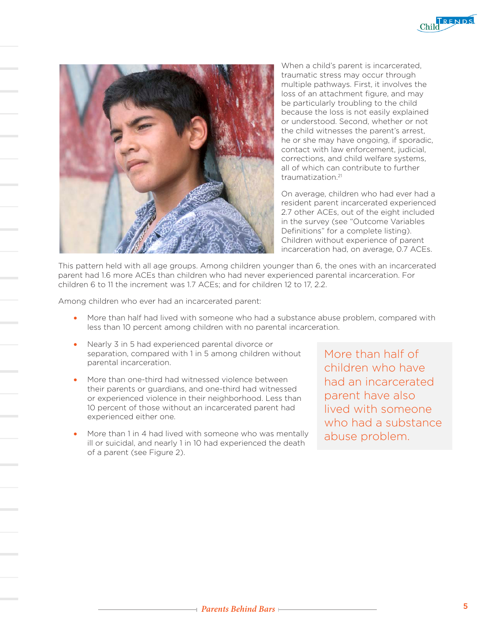



When a child's parent is incarcerated, traumatic stress may occur through multiple pathways. First, it involves the loss of an attachment figure, and may be particularly troubling to the child because the loss is not easily explained or understood. Second, whether or not the child witnesses the parent's arrest, he or she may have ongoing, if sporadic, contact with law enforcement, judicial, corrections, and child welfare systems, all of which can contribute to further traumatization<sup>21</sup>

On average, children who had ever had a resident parent incarcerated experienced 2.7 other ACEs, out of the eight included in the survey (see "Outcome Variables Definitions" for a complete listing). Children without experience of parent incarceration had, on average, 0.7 ACEs.

This pattern held with all age groups. Among children younger than 6, the ones with an incarcerated parent had 1.6 more ACEs than children who had never experienced parental incarceration. For children 6 to 11 the increment was 1.7 ACEs; and for children 12 to 17, 2.2.

Among children who ever had an incarcerated parent:

- More than half had lived with someone who had a substance abuse problem, compared with less than 10 percent among children with no parental incarceration.
- Nearly 3 in 5 had experienced parental divorce or separation, compared with 1 in 5 among children without parental incarceration.
- More than one-third had witnessed violence between their parents or guardians, and one-third had witnessed or experienced violence in their neighborhood. Less than 10 percent of those without an incarcerated parent had experienced either one.
- More than 1 in 4 had lived with someone who was mentally ill or suicidal, and nearly 1 in 10 had experienced the death of a parent (see Figure 2).

More than half of children who have had an incarcerated parent have also lived with someone who had a substance abuse problem.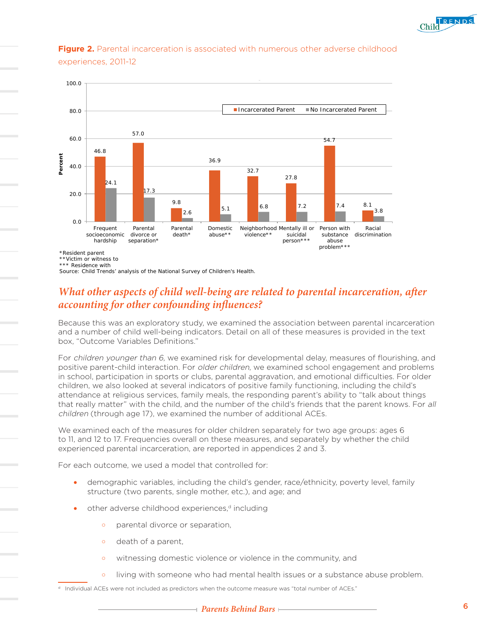

#### **Figure 2.** Parental incarceration is associated with numerous other adverse childhood experiences, 2011-12 **Parental Incarceration is Associated with Numerous**



\*\*Victim or witness to

Source: Child Trends' analysis of the National Survey of Children's Health.

#### *What other aspects of child well-being are related to parental incarceration, after accounting for other confounding influences?*

Because this was an exploratory study, we examined the association between parental incarceration and a number of child well-being indicators. Detail on all of these measures is provided in the text box, "Outcome Variables Definitions."

For children younger than 6, we examined risk for developmental delay, measures of flourishing, and positive parent-child interaction. For older children, we examined school engagement and problems in school, participation in sports or clubs, parental aggravation, and emotional difficulties. For older children, we also looked at several indicators of positive family functioning, including the child's attendance at religious services, family meals, the responding parent's ability to "talk about things that really matter" with the child, and the number of the child's friends that the parent knows. For all children (through age 17), we examined the number of additional ACEs.

We examined each of the measures for older children separately for two age groups: ages 6 to 11, and 12 to 17. Frequencies overall on these measures, and separately by whether the child experienced parental incarceration, are reported in appendices 2 and 3.

For each outcome, we used a model that controlled for:

- demographic variables, including the child's gender, race/ethnicity, poverty level, family structure (two parents, single mother, etc.), and age; and
- other adverse childhood experiences, $d$  including
	- o parental divorce or separation,
	- o death of a parent,
	- o witnessing domestic violence or violence in the community, and
	- o living with someone who had mental health issues or a substance abuse problem.
- <sup>d</sup> Individual ACEs were not included as predictors when the outcome measure was "total number of ACEs."

<sup>\*\*\*</sup> Residence with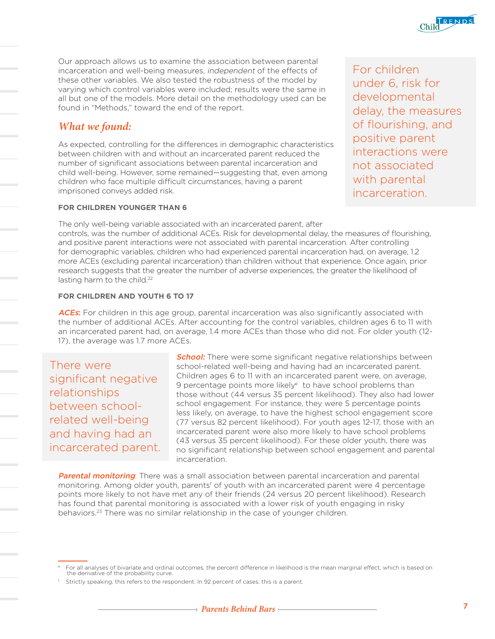

Our approach allows us to examine the association between parental incarceration and well-being measures, independent of the effects of these other variables. We also tested the robustness of the model by varying which control variables were included; results were the same in all but one of the models. More detail on the methodology used can be found in "Methods," toward the end of the report.

#### *What we found:*

As expected, controlling for the differences in demographic characteristics between children with and without an incarcerated parent reduced the number of significant associations between parental incarceration and child well-being. However, some remained—suggesting that, even among children who face multiple difficult circumstances, having a parent imprisoned conveys added risk.

**FOR CHILDREN YOUNGER THAN 6**

For children under 6, risk for developmental delay, the measures of flourishing, and positive parent interactions were not associated with parental incarceration.

The only well-being variable associated with an incarcerated parent, after controls, was the number of additional ACEs. Risk for developmental delay, the measures of flourishing, and positive parent interactions were not associated with parental incarceration. After controlling for demographic variables, children who had experienced parental incarceration had, on average, 1.2 more ACEs (excluding parental incarceration) than children without that experience. Once again, prior research suggests that the greater the number of adverse experiences, the greater the likelihood of lasting harm to the child.<sup>22</sup>

#### **FOR CHILDREN AND YOUTH 6 TO 17**

ACEs: For children in this age group, parental incarceration was also significantly associated with the number of additional ACEs. After accounting for the control variables, children ages 6 to 11 with an incarcerated parent had, on average, 1.4 more ACEs than those who did not. For older youth (12- 17), the average was 1.7 more ACEs.

There were significant negative relationships between schoolrelated well-being and having had an incarcerated parent.

**School:** There were some significant negative relationships between school-related well-being and having had an incarcerated parent. Children ages 6 to 11 with an incarcerated parent were, on average, 9 percentage points more likely<sup>e</sup> to have school problems than those without (44 versus 35 percent likelihood). They also had lower school engagement. For instance, they were 5 percentage points less likely, on average, to have the highest school engagement score (77 versus 82 percent likelihood). For youth ages 12-17, those with an incarcerated parent were also more likely to have school problems (43 versus 35 percent likelihood). For these older youth, there was no significant relationship between school engagement and parental incarceration.

**Parental monitoring**: There was a small association between parental incarceration and parental monitoring. Among older youth, parentsf of youth with an incarcerated parent were 4 percentage points more likely to not have met any of their friends (24 versus 20 percent likelihood). Research has found that parental monitoring is associated with a lower risk of youth engaging in risky behaviors.23 There was no similar relationship in the case of younger children.

<sup>e</sup> For all analyses of bivariate and ordinal outcomes, the percent difference in likelihood is the mean marginal effect, which is based on the derivative of the probability curve.

Strictly speaking, this refers to the respondent. In 92 percent of cases, this is a parent.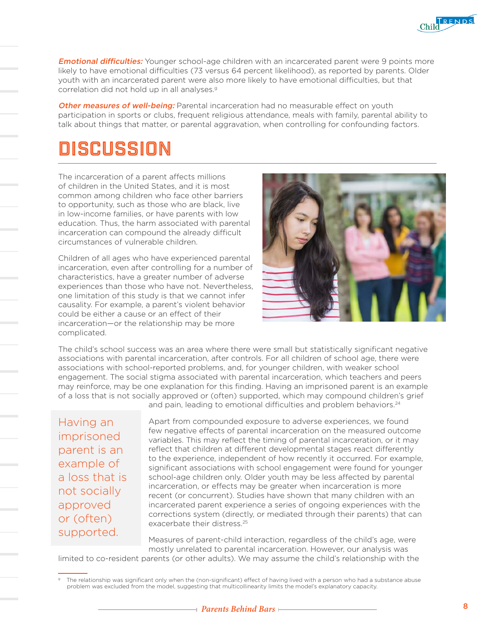**Emotional difficulties:** Younger school-age children with an incarcerated parent were 9 points more likely to have emotional difficulties (73 versus 64 percent likelihood), as reported by parents. Older youth with an incarcerated parent were also more likely to have emotional difficulties, but that correlation did not hold up in all analyses.<sup>9</sup>

Other measures of well-being: Parental incarceration had no measurable effect on youth participation in sports or clubs, frequent religious attendance, meals with family, parental ability to talk about things that matter, or parental aggravation, when controlling for confounding factors.

### DISCUSSION

The incarceration of a parent affects millions of children in the United States, and it is most common among children who face other barriers to opportunity, such as those who are black, live in low-income families, or have parents with low education. Thus, the harm associated with parental incarceration can compound the already difficult circumstances of vulnerable children.

Children of all ages who have experienced parental incarceration, even after controlling for a number of characteristics, have a greater number of adverse experiences than those who have not. Nevertheless, one limitation of this study is that we cannot infer causality. For example, a parent's violent behavior could be either a cause or an effect of their incarceration—or the relationship may be more complicated.



The child's school success was an area where there were small but statistically significant negative associations with parental incarceration, after controls. For all children of school age, there were associations with school-reported problems, and, for younger children, with weaker school engagement. The social stigma associated with parental incarceration, which teachers and peers may reinforce, may be one explanation for this finding. Having an imprisoned parent is an example of a loss that is not socially approved or (often) supported, which may compound children's grief

Having an imprisoned parent is an example of a loss that is not socially approved or (often) supported.

and pain, leading to emotional difficulties and problem behaviors.<sup>24</sup>

Apart from compounded exposure to adverse experiences, we found few negative effects of parental incarceration on the measured outcome variables. This may reflect the timing of parental incarceration, or it may reflect that children at different developmental stages react differently to the experience, independent of how recently it occurred. For example, significant associations with school engagement were found for younger school-age children only. Older youth may be less affected by parental incarceration, or effects may be greater when incarceration is more recent (or concurrent). Studies have shown that many children with an incarcerated parent experience a series of ongoing experiences with the corrections system (directly, or mediated through their parents) that can exacerbate their distress.<sup>25</sup>

Measures of parent-child interaction, regardless of the child's age, were mostly unrelated to parental incarceration. However, our analysis was limited to co-resident parents (or other adults). We may assume the child's relationship with the

The relationship was significant only when the (non-significant) effect of having lived with a person who had a substance abuse

Child RENDS

problem was excluded from the model, suggesting that multicollinearity limits the model's explanatory capacity.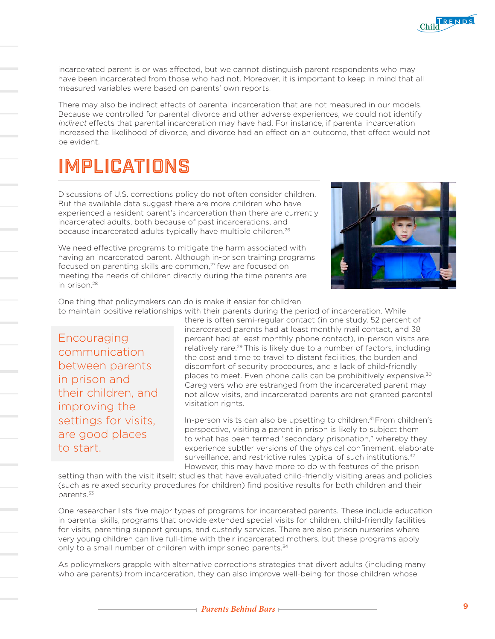

incarcerated parent is or was affected, but we cannot distinguish parent respondents who may have been incarcerated from those who had not. Moreover, it is important to keep in mind that all measured variables were based on parents' own reports.

There may also be indirect effects of parental incarceration that are not measured in our models. Because we controlled for parental divorce and other adverse experiences, we could not identify indirect effects that parental incarceration may have had. For instance, if parental incarceration increased the likelihood of divorce, and divorce had an effect on an outcome, that effect would not be evident.

### IMPLICATIONS

Discussions of U.S. corrections policy do not often consider children. But the available data suggest there are more children who have experienced a resident parent's incarceration than there are currently incarcerated adults, both because of past incarcerations, and because incarcerated adults typically have multiple children.<sup>26</sup>

We need effective programs to mitigate the harm associated with having an incarcerated parent. Although in-prison training programs focused on parenting skills are common,<sup>27</sup> few are focused on meeting the needs of children directly during the time parents are in prison.28



One thing that policymakers can do is make it easier for children to maintain positive relationships with their parents during the period of incarceration. While

**Encouraging** communication between parents in prison and their children, and improving the settings for visits, are good places to start.

there is often semi-regular contact (in one study, 52 percent of incarcerated parents had at least monthly mail contact, and 38 percent had at least monthly phone contact), in-person visits are relatively rare.<sup>29</sup> This is likely due to a number of factors, including the cost and time to travel to distant facilities, the burden and discomfort of security procedures, and a lack of child-friendly places to meet. Even phone calls can be prohibitively expensive.30 Caregivers who are estranged from the incarcerated parent may not allow visits, and incarcerated parents are not granted parental visitation rights.

In-person visits can also be upsetting to children.<sup>31</sup> From children's perspective, visiting a parent in prison is likely to subject them to what has been termed "secondary prisonation," whereby they experience subtler versions of the physical confinement, elaborate surveillance, and restrictive rules typical of such institutions.<sup>32</sup> However, this may have more to do with features of the prison

setting than with the visit itself; studies that have evaluated child-friendly visiting areas and policies (such as relaxed security procedures for children) find positive results for both children and their parents.33

One researcher lists five major types of programs for incarcerated parents. These include education in parental skills, programs that provide extended special visits for children, child-friendly facilities for visits, parenting support groups, and custody services. There are also prison nurseries where very young children can live full-time with their incarcerated mothers, but these programs apply only to a small number of children with imprisoned parents.<sup>34</sup>

As policymakers grapple with alternative corrections strategies that divert adults (including many who are parents) from incarceration, they can also improve well-being for those children whose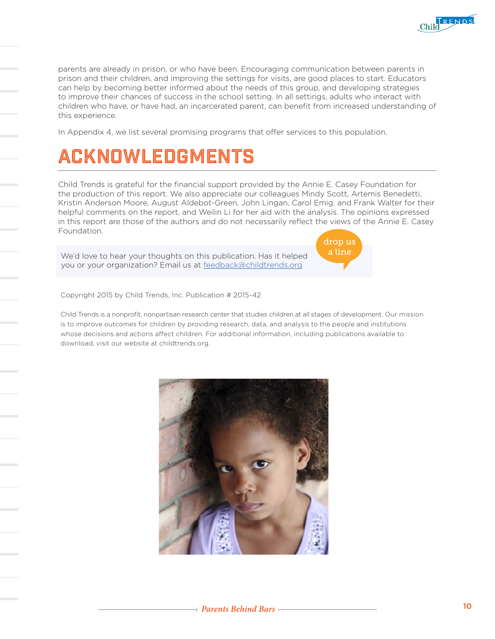

parents are already in prison, or who have been. Encouraging communication between parents in prison and their children, and improving the settings for visits, are good places to start. Educators can help by becoming better informed about the needs of this group, and developing strategies to improve their chances of success in the school setting. In all settings, adults who interact with children who have, or have had, an incarcerated parent, can benefit from increased understanding of this experience.

In Appendix 4, we list several promising programs that offer services to this population.

# ACKNOWLEDGMENTS

Child Trends is grateful for the financial support provided by the Annie E. Casey Foundation for the production of this report. We also appreciate our colleagues Mindy Scott, Artemis Benedetti, Kristin Anderson Moore, August Aldebot-Green, John Lingan, Carol Emig, and Frank Walter for their helpful comments on the report, and Weilin Li for her aid with the analysis. The opinions expressed in this report are those of the authors and do not necessarily reflect the views of the Annie E. Casey Foundation.

We'd love to hear your thoughts on this publication. Has it helped you or your organization? Email us at [feedback@childtrends.org](mailto:feedback%40childtrends.org?subject=)



Copyright 2015 by Child Trends, Inc. Publication # 2015-42

Child Trends is a nonprofit, nonpartisan research center that studies children at all stages of development. Our mission is to improve outcomes for children by providing research, data, and analysis to the people and institutions whose decisions and actions affect children. For additional information, including publications available to download, visit our website at childtrends.org.

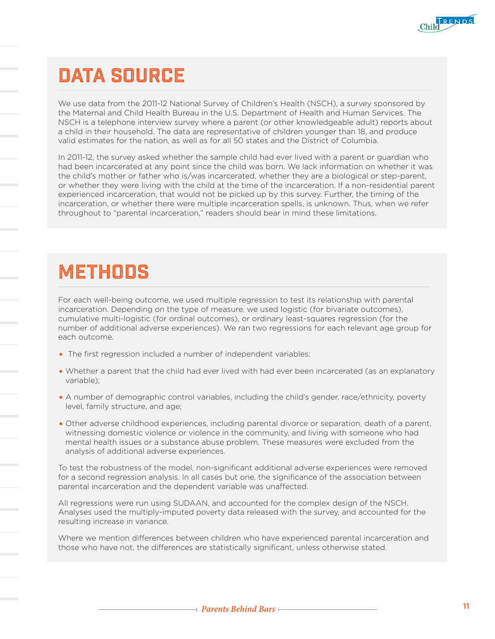

# DATA SOURCE

We use data from the 2011-12 National Survey of Children's Health (NSCH), a survey sponsored by the Maternal and Child Health Bureau in the U.S. Department of Health and Human Services. The NSCH is a telephone interview survey where a parent (or other knowledgeable adult) reports about a child in their household. The data are representative of children younger than 18, and produce valid estimates for the nation, as well as for all 50 states and the District of Columbia.

In 2011-12, the survey asked whether the sample child had ever lived with a parent or guardian who had been incarcerated at any point since the child was born. We lack information on whether it was the child's mother or father who is/was incarcerated, whether they are a biological or step-parent, or whether they were living with the child at the time of the incarceration. If a non-residential parent experienced incarceration, that would not be picked up by this survey. Further, the timing of the incarceration, or whether there were multiple incarceration spells, is unknown. Thus, when we refer throughout to "parental incarceration," readers should bear in mind these limitations.

### METHODS

For each well-being outcome, we used multiple regression to test its relationship with parental incarceration. Depending on the type of measure, we used logistic (for bivariate outcomes), cumulative multi-logistic (for ordinal outcomes), or ordinary least-squares regression (for the number of additional adverse experiences). We ran two regressions for each relevant age group for each outcome.

- The first regression included a number of independent variables:
- Whether a parent that the child had ever lived with had ever been incarcerated (as an explanatory variable);
- A number of demographic control variables, including the child's gender, race/ethnicity, poverty level, family structure, and age;
- Other adverse childhood experiences, including parental divorce or separation, death of a parent, witnessing domestic violence or violence in the community, and living with someone who had mental health issues or a substance abuse problem. These measures were excluded from the analysis of additional adverse experiences.

To test the robustness of the model, non-significant additional adverse experiences were removed for a second regression analysis. In all cases but one, the significance of the association between parental incarceration and the dependent variable was unaffected.

All regressions were run using SUDAAN, and accounted for the complex design of the NSCH. Analyses used the multiply-imputed poverty data released with the survey, and accounted for the resulting increase in variance.

Where we mention differences between children who have experienced parental incarceration and those who have not, the differences are statistically significant, unless otherwise stated.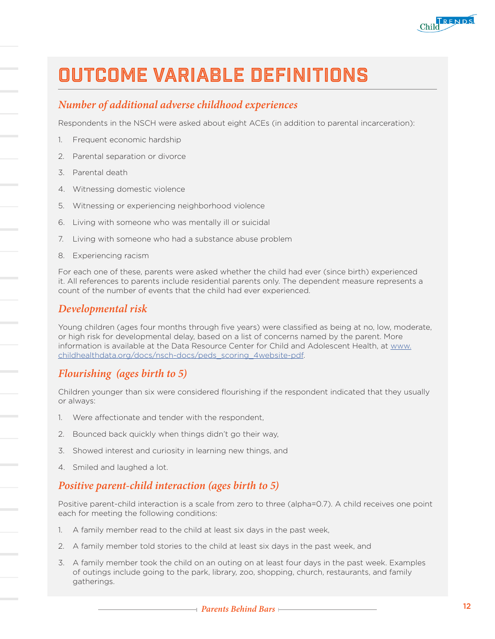

### OUTCOME VARIABLE DEFINITIONS

#### *Number of additional adverse childhood experiences*

Respondents in the NSCH were asked about eight ACEs (in addition to parental incarceration):

- 1. Frequent economic hardship
- 2. Parental separation or divorce
- 3. Parental death
- 4. Witnessing domestic violence
- 5. Witnessing or experiencing neighborhood violence
- 6. Living with someone who was mentally ill or suicidal
- 7. Living with someone who had a substance abuse problem
- 8. Experiencing racism

For each one of these, parents were asked whether the child had ever (since birth) experienced it. All references to parents include residential parents only. The dependent measure represents a count of the number of events that the child had ever experienced.

#### *Developmental risk*

Young children (ages four months through five years) were classified as being at no, low, moderate, or high risk for developmental delay, based on a list of concerns named by the parent. More information is available at the Data Resource Center for Child and Adolescent Health, at [www.](http://www.childhealthdata.org/docs/nsch-docs/peds_scoring_4website-pdf) [childhealthdata.org/docs/nsch-docs/peds\\_scoring\\_4website-pdf.](http://www.childhealthdata.org/docs/nsch-docs/peds_scoring_4website-pdf)

#### *Flourishing (ages birth to 5)*

Children younger than six were considered flourishing if the respondent indicated that they usually or always:

- 1. Were affectionate and tender with the respondent,
- 2. Bounced back quickly when things didn't go their way,
- 3. Showed interest and curiosity in learning new things, and
- 4. Smiled and laughed a lot.

#### *Positive parent-child interaction (ages birth to 5)*

Positive parent-child interaction is a scale from zero to three (alpha=0.7). A child receives one point each for meeting the following conditions:

- 1. A family member read to the child at least six days in the past week,
- 2. A family member told stories to the child at least six days in the past week, and
- 3. A family member took the child on an outing on at least four days in the past week. Examples of outings include going to the park, library, zoo, shopping, church, restaurants, and family gatherings.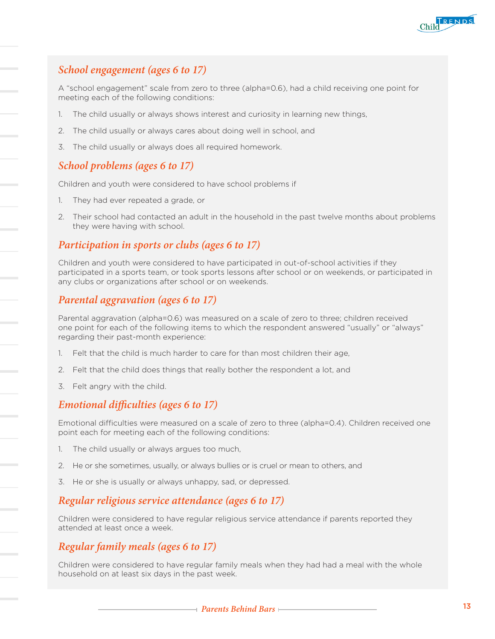

### *School engagement (ages 6 to 17)*

A "school engagement" scale from zero to three (alpha=0.6), had a child receiving one point for meeting each of the following conditions:

- The child usually or always shows interest and curiosity in learning new things,
- 2. The child usually or always cares about doing well in school, and
- 3. The child usually or always does all required homework.

#### *School problems (ages 6 to 17)*

Children and youth were considered to have school problems if

- 1. They had ever repeated a grade, or
- 2. Their school had contacted an adult in the household in the past twelve months about problems they were having with school.

#### *Participation in sports or clubs (ages 6 to 17)*

Children and youth were considered to have participated in out-of-school activities if they participated in a sports team, or took sports lessons after school or on weekends, or participated in any clubs or organizations after school or on weekends.

#### *Parental aggravation (ages 6 to 17)*

Parental aggravation (alpha=0.6) was measured on a scale of zero to three; children received one point for each of the following items to which the respondent answered "usually" or "always" regarding their past-month experience:

- Felt that the child is much harder to care for than most children their age,
- 2. Felt that the child does things that really bother the respondent a lot, and
- 3. Felt angry with the child.

#### *Emotional difficulties (ages 6 to 17)*

Emotional difficulties were measured on a scale of zero to three (alpha=0.4). Children received one point each for meeting each of the following conditions:

- 1. The child usually or always argues too much,
- 2. He or she sometimes, usually, or always bullies or is cruel or mean to others, and
- 3. He or she is usually or always unhappy, sad, or depressed.

#### *Regular religious service attendance (ages 6 to 17)*

Children were considered to have regular religious service attendance if parents reported they attended at least once a week.

#### *Regular family meals (ages 6 to 17)*

Children were considered to have regular family meals when they had had a meal with the whole household on at least six days in the past week.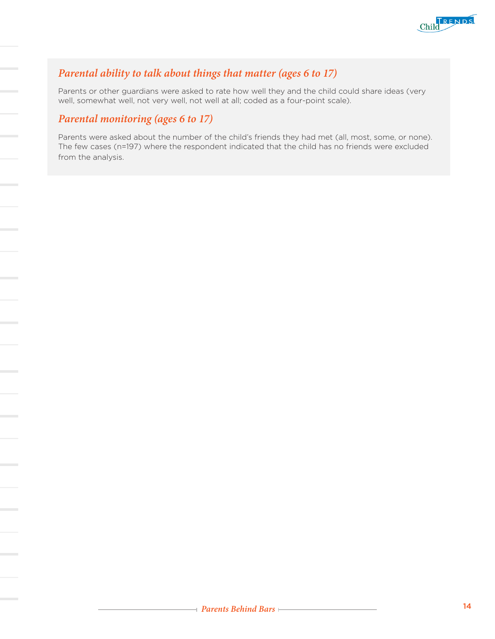

### *Parental ability to talk about things that matter (ages 6 to 17)*

Parents or other guardians were asked to rate how well they and the child could share ideas (very well, somewhat well, not very well, not well at all; coded as a four-point scale).

### *Parental monitoring (ages 6 to 17)*

Parents were asked about the number of the child's friends they had met (all, most, some, or none). The few cases (n=197) where the respondent indicated that the child has no friends were excluded from the analysis.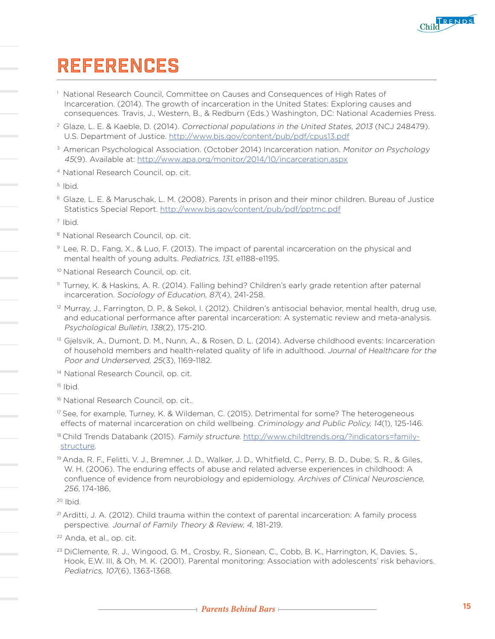

### REFERENCES

- 1 National Research Council, Committee on Causes and Consequences of High Rates of Incarceration. (2014). The growth of incarceration in the United States: Exploring causes and consequences. Travis, J., Western, B., & Redburn (Eds.) Washington, DC: National Academies Press.
- 2 Glaze, L. E. & Kaeble, D. (2014). Correctional populations in the United States, 2013 (NCJ 248479). U.S. Department of Justice.<http://www.bjs.gov/content/pub/pdf/cpus13.pdf>
- <sup>3</sup> American Psychological Association. (October 2014) Incarceration nation. Monitor on Psychology 45(9). Available at: <http://www.apa.org/monitor/2014/10/incarceration.aspx>
- 4 National Research Council, op. cit.
- 5 Ibid.
- 6 Glaze, L. E. & Maruschak, L. M. (2008). Parents in prison and their minor children. Bureau of Justice Statistics Special Report.<http://www.bjs.gov/content/pub/pdf/pptmc.pdf>

<sup>7</sup> Ibid.

- <sup>8</sup> National Research Council, op. cit.
- 9 Lee, R. D., Fang, X., & Luo, F. (2013). The impact of parental incarceration on the physical and mental health of young adults. Pediatrics, 131, e1188-e1195.
- <sup>10</sup> National Research Council, op. cit.
- 11 Turney, K. & Haskins, A. R. (2014). Falling behind? Children's early grade retention after paternal incarceration. Sociology of Education, 87(4), 241-258.
- <sup>12</sup> Murray, J., Farrington, D. P., & Sekol, I. (2012). Children's antisocial behavior, mental health, drug use, and educational performance after parental incarceration: A systematic review and meta-analysis. Psychological Bulletin, 138(2), 175-210.
- 13 Gjelsvik, A., Dumont, D. M., Nunn, A., & Rosen, D. L. (2014). Adverse childhood events: Incarceration of household members and health-related quality of life in adulthood. Journal of Healthcare for the Poor and Underserved, 25(3), 1169-1182.
- <sup>14</sup> National Research Council, op. cit.

 $15$  Ibid.

- <sup>16</sup> National Research Council, op. cit..
- <sup>17</sup> See, for example, Turney, K. & Wildeman, C. (2015). Detrimental for some? The heterogeneous effects of maternal incarceration on child wellbeing. Criminology and Public Policy, 14(1), 125-146.
- 18 Child Trends Databank (2015). Family structure. [http://www.childtrends.org/?indicators=family](http://www.childtrends.org/?indicators=family-structure)[structure](http://www.childtrends.org/?indicators=family-structure).
- 19 Anda, R. F., Felitti, V. J., Bremner, J. D., Walker, J. D., Whitfield, C., Perry, B. D., Dube, S. R., & Giles, W. H. (2006). The enduring effects of abuse and related adverse experiences in childhood: A confluence of evidence from neurobiology and epidemiology. Archives of Clinical Neuroscience, 256, 174-186,

- $21$  Arditti, J. A. (2012). Child trauma within the context of parental incarceration: A family process perspective. Journal of Family Theory & Review, 4, 181-219.
- 22 Anda, et al., op. cit.
- <sup>23</sup> DiClemente, R. J., Wingood, G. M., Crosby, R., Sionean, C., Cobb, B. K., Harrington, K, Davies, S., Hook, E.W. III, & Oh, M. K. (2001). Parental monitoring: Association with adolescents' risk behaviors. Pediatrics, 107(6), 1363-1368.

 $20$  Ibid.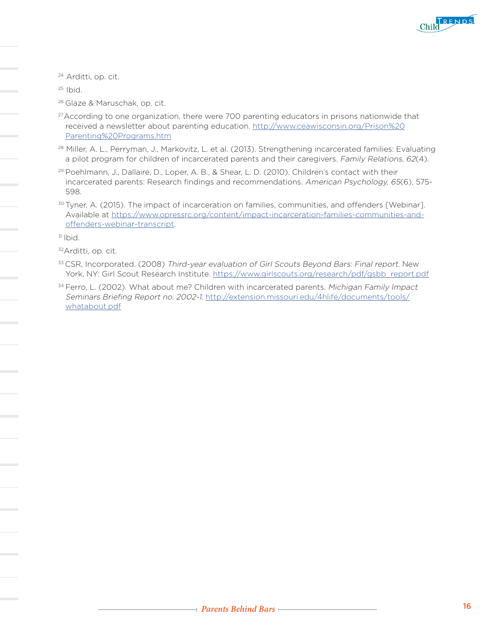

24 Arditti, op. cit.

 $25$  Ibid.

- 26 Glaze & Maruschak, op. cit.
- $27$ According to one organization, there were 700 parenting educators in prisons nationwide that received a newsletter about parenting education. [http://www.ceawisconsin.org/Prison%20](http://www.ceawisconsin.org/Prison%20Parenting%20Programs.htm) [Parenting%20Programs.htm](http://www.ceawisconsin.org/Prison%20Parenting%20Programs.htm)
- 28 Miller, A. L., Perryman, J., Markovitz, L. et al. (2013). Strengthening incarcerated families: Evaluating a pilot program for children of incarcerated parents and their caregivers. Family Relations, 62(4).
- <sup>29</sup> Poehlmann, J., Dallaire, D., Loper, A. B., & Shear, L. D. (2010). Children's contact with their incarcerated parents: Research findings and recommendations. American Psychology, 65(6), 575- 598.
- <sup>30</sup> Tyner, A. (2015). The impact of incarceration on families, communities, and offenders [Webinar]. Available at [https://www.opressrc.org/content/impact-incarceration-families-communities-and](https://www.opressrc.org/content/impact-incarceration-families-communities-and-offenders-webinar-transcript)[offenders-webinar-transcript](https://www.opressrc.org/content/impact-incarceration-families-communities-and-offenders-webinar-transcript).

 $31$  Ibid.

- 33 CSR, Incorporated. (2008) Third-year evaluation of Girl Scouts Beyond Bars: Final report. New York, NY: Girl Scout Research Institute. [https://www.girlscouts.org/research/pdf/gsbb\\_report.pdf](https://www.girlscouts.org/research/pdf/gsbb_report.pdf)
- <sup>34</sup> Ferro, L. (2002). What about me? Children with incarcerated parents. Michigan Family Impact Seminars Briefing Report no. 2002-1. [http://extension.missouri.edu/4hlife/documents/tools/](http://extension.missouri.edu/4hlife/documents/tools/whatabout.pdf) [whatabout.pdf](http://extension.missouri.edu/4hlife/documents/tools/whatabout.pdf)

<sup>32</sup>Arditti, op. cit.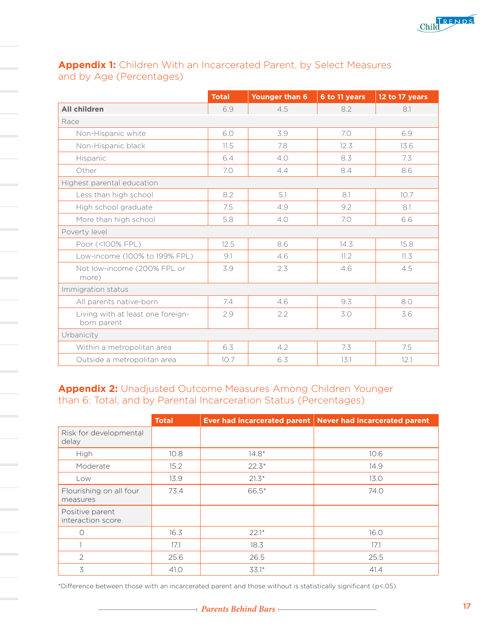

#### **Appendix 1:** Children With an Incarcerated Parent, by Select Measures and by Age (Percentages)

|                                                  | <b>Total</b> | <b>Younger than 6</b> | 6 to 11 years | 12 to 17 years |
|--------------------------------------------------|--------------|-----------------------|---------------|----------------|
| <b>All children</b>                              | 6.9          | 4.5                   | 8.2           | 8.1            |
| Race                                             |              |                       |               |                |
| Non-Hispanic white                               | 6.0          | 3.9                   | 7.0           | 6.9            |
| Non-Hispanic black                               | 11.5         | 7.8                   | 12.3          | 13.6           |
| Hispanic                                         | 6.4          | 4.0                   | 8.3           | 7.3            |
| Other                                            | 7.0          | 4.4                   | 8.4           | 8.6            |
| Highest parental education                       |              |                       |               |                |
| Less than high school                            | 8.2          | 5.1                   | 8.1           | 10.7           |
| High school graduate                             | 7.5          | 4.9                   | 9.2           | 8.1            |
| More than high school                            | 5.8          | 4.0                   | 7.0           | 6.6            |
| Poverty level                                    |              |                       |               |                |
| Poor (<100% FPL)                                 | 12.5         | 8.6                   | 14.3          | 15.8           |
| Low-income (100% to 199% FPL)                    | 9.1          | 4.6                   | 11.2          | 11.3           |
| Not low-income (200% FPL or<br>more)             | 3.9          | 2.3                   | 4.6           | 4.5            |
| Immigration status                               |              |                       |               |                |
| All parents native-born                          | 7.4          | 4.6                   | 9.3           | 8.0            |
| Living with at least one foreign-<br>born parent | 2.9          | 2.2                   | 3.0           | 3.6            |
| Urbanicity                                       |              |                       |               |                |
| Within a metropolitan area                       | 6.3          | 4.2                   | 7.3           | 7.5            |
| Outside a metropolitan area                      | 10.7         | 6.3                   | 13.1          | 12.1           |

**Appendix 2:** Unadjusted Outcome Measures Among Children Younger than 6: Total, and by Parental Incarceration Status (Percentages)

|                                      | <b>Total</b> | <b>Ever had incarcerated parent</b> | <b>Never had incarcerated parent</b> |
|--------------------------------------|--------------|-------------------------------------|--------------------------------------|
| Risk for developmental<br>delay      |              |                                     |                                      |
| High                                 | 10.8         | $14.8*$                             | 10.6                                 |
| Moderate                             | 15.2         | $22.3*$                             | 14.9                                 |
| Low                                  | 13.9         | $21.3*$                             | 13.0                                 |
| Flourishing on all four<br>measures  | 73.4         | 66.5*                               | 74.0                                 |
| Positive parent<br>interaction score |              |                                     |                                      |
| 0                                    | 16.3         | $22.1*$                             | 16.0                                 |
|                                      | 17.1         | 18.3                                | 17.1                                 |
| $\overline{2}$                       | 25.6         | 26.5                                | 25.5                                 |
| 3                                    | 41.O         | $33.1*$                             | 41.4                                 |

\*Difference between those with an incarcerated parent and those without is statistically significant (p<.05).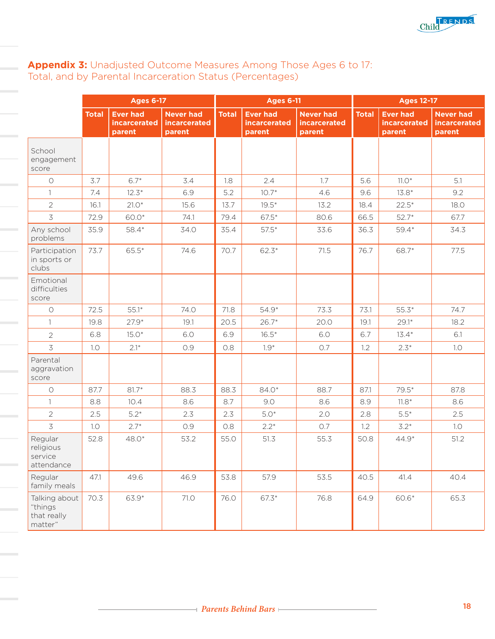

#### **Appendix 3:** Unadjusted Outcome Measures Among Those Ages 6 to 17: Total, and by Parental Incarceration Status (Percentages)

|                                                    | <b>Ages 6-17</b> |                                           |                                                   | <b>Ages 6-11</b> |                                           |                                                   | <b>Ages 12-17</b> |                                                  |                                                   |
|----------------------------------------------------|------------------|-------------------------------------------|---------------------------------------------------|------------------|-------------------------------------------|---------------------------------------------------|-------------------|--------------------------------------------------|---------------------------------------------------|
|                                                    | <b>Total</b>     | <b>Ever had</b><br>incarcerated<br>parent | <b>Never had</b><br><b>incarcerated</b><br>parent | <b>Total</b>     | <b>Ever had</b><br>incarcerated<br>parent | <b>Never had</b><br><b>incarcerated</b><br>parent | <b>Total</b>      | <b>Ever had</b><br><b>incarcerated</b><br>parent | <b>Never had</b><br><b>incarcerated</b><br>parent |
| School<br>engagement<br>score                      |                  |                                           |                                                   |                  |                                           |                                                   |                   |                                                  |                                                   |
| $\bigcirc$                                         | 3.7              | $6.7*$                                    | 3.4                                               | 1.8              | 2.4                                       | 1.7                                               | 5.6               | $11.0*$                                          | 5.1                                               |
| $\mathbf{1}$                                       | 7.4              | $12.3*$                                   | 6.9                                               | 5.2              | $10.7*$                                   | 4.6                                               | 9.6               | $13.8*$                                          | 9.2                                               |
| $\overline{2}$                                     | 16.1             | $21.0*$                                   | 15.6                                              | 13.7             | $19.5*$                                   | 13.2                                              | 18.4              | $22.5*$                                          | 18.0                                              |
| 3                                                  | 72.9             | 60.0*                                     | 74.1                                              | 79.4             | $67.5*$                                   | 80.6                                              | 66.5              | $52.7*$                                          | 67.7                                              |
| Any school<br>problems                             | 35.9             | 58.4*                                     | 34.0                                              | 35.4             | $57.5*$                                   | 33.6                                              | 36.3              | $59.4*$                                          | 34.3                                              |
| Participation<br>in sports or<br>clubs             | 73.7             | 65.5*                                     | 74.6                                              | 70.7             | $62.3*$                                   | 71.5                                              | 76.7              | 68.7*                                            | 77.5                                              |
| Emotional<br>difficulties<br>score                 |                  |                                           |                                                   |                  |                                           |                                                   |                   |                                                  |                                                   |
| $\circ$                                            | 72.5             | $55.1*$                                   | 74.0                                              | 71.8             | 54.9*                                     | 73.3                                              | 73.1              | $55.3*$                                          | 74.7                                              |
| 1.                                                 | 19.8             | $27.9*$                                   | 19.1                                              | 20.5             | $26.7*$                                   | 20.0                                              | 19.1              | $29.1*$                                          | 18.2                                              |
| $\overline{2}$                                     | 6.8              | $15.0*$                                   | 6.0                                               | 6.9              | $16.5*$                                   | 6.0                                               | 6.7               | $13.4*$                                          | 6.1                                               |
| 3                                                  | 1.0              | $2.1*$                                    | 0.9                                               | 0.8              | $1.9*$                                    | 0.7                                               | 1.2               | $2.3*$                                           | 1.0                                               |
| Parental<br>aggravation<br>score                   |                  |                                           |                                                   |                  |                                           |                                                   |                   |                                                  |                                                   |
| $\bigcirc$                                         | 87.7             | $81.7*$                                   | 88.3                                              | 88.3             | 84.0 <sup>*</sup>                         | 88.7                                              | 87.1              | $79.5*$                                          | 87.8                                              |
| $\mathbf{1}$                                       | 8.8              | 10.4                                      | 8.6                                               | 8.7              | 9.0                                       | 8.6                                               | 8.9               | $11.8*$                                          | 8.6                                               |
| $\overline{2}$                                     | 2.5              | $5.2*$                                    | 2.3                                               | 2.3              | $5.0*$                                    | 2.0                                               | 2.8               | $5.5*$                                           | 2.5                                               |
| 3                                                  | 1.0              | $2.7*$                                    | 0.9                                               | 0.8              | $2.2*$                                    | 0.7                                               | 1.2               | $3.2*$                                           | 1.0                                               |
| Regular<br>religious<br>service<br>attendance      | 52.8             | 48.0 <sup>*</sup>                         | 53.2                                              | 55.0             | 51.3                                      | 55.3                                              | 50.8              | 44.9*                                            | 51.2                                              |
| Regular<br>family meals                            | 47.1             | 49.6                                      | 46.9                                              | 53.8             | 57.9                                      | 53.5                                              | 40.5              | 41.4                                             | 40.4                                              |
| Talking about<br>"things<br>that really<br>matter" | 70.3             | 63.9*                                     | 71.0                                              | 76.0             | 67.3*                                     | 76.8                                              | 64.9              | 60.6*                                            | 65.3                                              |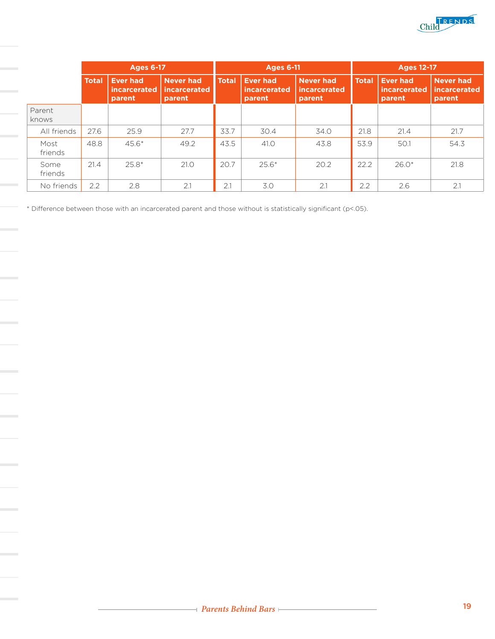

|                 | <b>Ages 6-17</b> |                                                  |                                                   | <b>Ages 6-11</b> |                                           |                                            | <b>Ages 12-17</b> |                                           |                                            |
|-----------------|------------------|--------------------------------------------------|---------------------------------------------------|------------------|-------------------------------------------|--------------------------------------------|-------------------|-------------------------------------------|--------------------------------------------|
|                 | <b>Total</b>     | <b>Ever had</b><br><i>incarcerated</i><br>parent | <b>Never had</b><br><i>incarcerated</i><br>parent | <b>Total</b>     | <b>Ever had</b><br>incarcerated<br>parent | Never had<br><i>incarcerated</i><br>parent | <b>Total</b>      | <b>Ever had</b><br>incarcerated<br>parent | <b>Never had</b><br>incarcerated<br>parent |
| Parent<br>knows |                  |                                                  |                                                   |                  |                                           |                                            |                   |                                           |                                            |
| All friends     | 27.6             | 25.9                                             | 27.7                                              | 33.7             | 30.4                                      | 34.0                                       | 21.8              | 21.4                                      | 21.7                                       |
| Most<br>friends | 48.8             | $45.6*$                                          | 49.2                                              | 43.5             | 41.0                                      | 43.8                                       | 53.9              | 50.1                                      | 54.3                                       |
| Some<br>friends | 21.4             | $25.8*$                                          | 21.0                                              | 20.7             | $25.6*$                                   | 20.2                                       | 22.2              | $26.0*$                                   | 21.8                                       |
| No friends      | 2.2              | 2.8                                              | 2.1                                               | 2.1              | 3.0                                       | 2.1                                        | 2.2               | 2.6                                       | 2.1                                        |

\* Difference between those with an incarcerated parent and those without is statistically significant (p<.05).